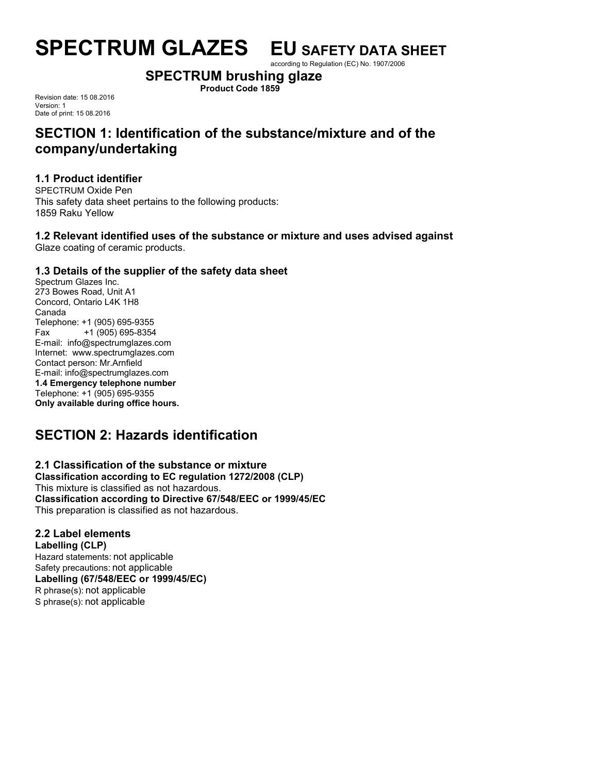according to Regulation (EC) No. 1907/2006

# **SPECTRUM brushing glaze**

**Product Code 1859**

Revision date: 15 08.2016 Version: 1 Date of print: 15 08.2016

# **SECTION 1: Identification of the substance/mixture and of the company/undertaking**

## **1.1 Product identifier**

SPECTRUM Oxide Pen This safety data sheet pertains to the following products: 1859 Raku Yellow

# **1.2 Relevant identified uses of the substance or mixture and uses advised against**

Glaze coating of ceramic products.

## **1.3 Details of the supplier of the safety data sheet**

Spectrum Glazes Inc. 273 Bowes Road, Unit A1 Concord, Ontario L4K 1H8 Canada Telephone: +1 (905) 695-9355 Fax +1 (905) 695-8354 E-mail: info@spectrumglazes.com Internet: www.spectrumglazes.com Contact person: Mr.Arnfield E-mail: info@spectrumglazes.com **1.4 Emergency telephone number** Telephone: +1 (905) 695-9355 **Only available during office hours.**

# **SECTION 2: Hazards identification**

# **2.1 Classification of the substance or mixture**

**Classification according to EC regulation 1272/2008 (CLP)** This mixture is classified as not hazardous. **Classification according to Directive 67/548/EEC or 1999/45/EC** This preparation is classified as not hazardous.

## **2.2 Label elements**

**Labelling (CLP)** Hazard statements: not applicable Safety precautions: not applicable **Labelling (67/548/EEC or 1999/45/EC)** R phrase(s): not applicable S phrase(s): not applicable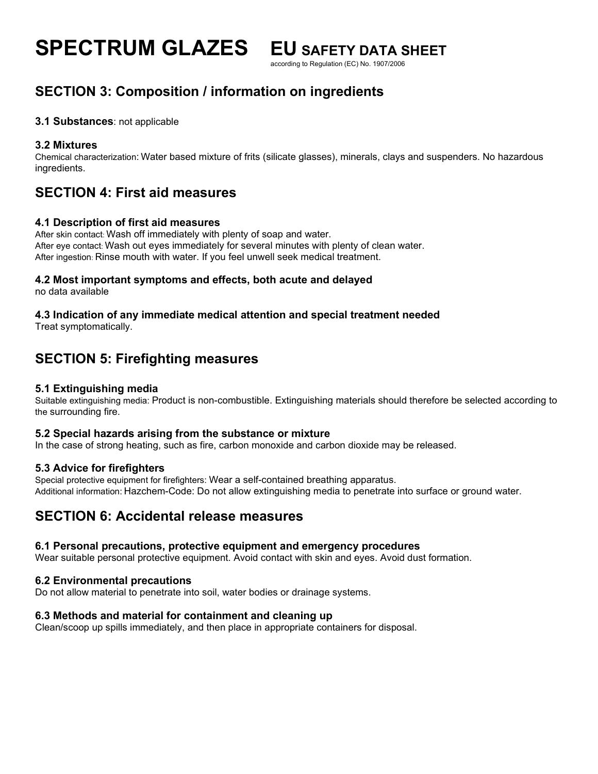according to Regulation (EC) No. 1907/2006

# **SECTION 3: Composition / information on ingredients**

## **3.1 Substances**: not applicable

## **3.2 Mixtures**

Chemical characterization: Water based mixture of frits (silicate glasses), minerals, clays and suspenders. No hazardous ingredients.

# **SECTION 4: First aid measures**

## **4.1 Description of first aid measures**

After skin contact: Wash off immediately with plenty of soap and water. After eye contact: Wash out eyes immediately for several minutes with plenty of clean water. After ingestion: Rinse mouth with water. If you feel unwell seek medical treatment.

## **4.2 Most important symptoms and effects, both acute and delayed**

no data available

## **4.3 Indication of any immediate medical attention and special treatment needed**

Treat symptomatically.

# **SECTION 5: Firefighting measures**

## **5.1 Extinguishing media**

Suitable extinguishing media: Product is non-combustible. Extinguishing materials should therefore be selected according to the surrounding fire.

## **5.2 Special hazards arising from the substance or mixture**

In the case of strong heating, such as fire, carbon monoxide and carbon dioxide may be released.

## **5.3 Advice for firefighters**

Special protective equipment for firefighters: Wear a self-contained breathing apparatus. Additional information: Hazchem-Code: Do not allow extinguishing media to penetrate into surface or ground water.

## **SECTION 6: Accidental release measures**

## **6.1 Personal precautions, protective equipment and emergency procedures**

Wear suitable personal protective equipment. Avoid contact with skin and eyes. Avoid dust formation.

## **6.2 Environmental precautions**

Do not allow material to penetrate into soil, water bodies or drainage systems.

## **6.3 Methods and material for containment and cleaning up**

Clean/scoop up spills immediately, and then place in appropriate containers for disposal.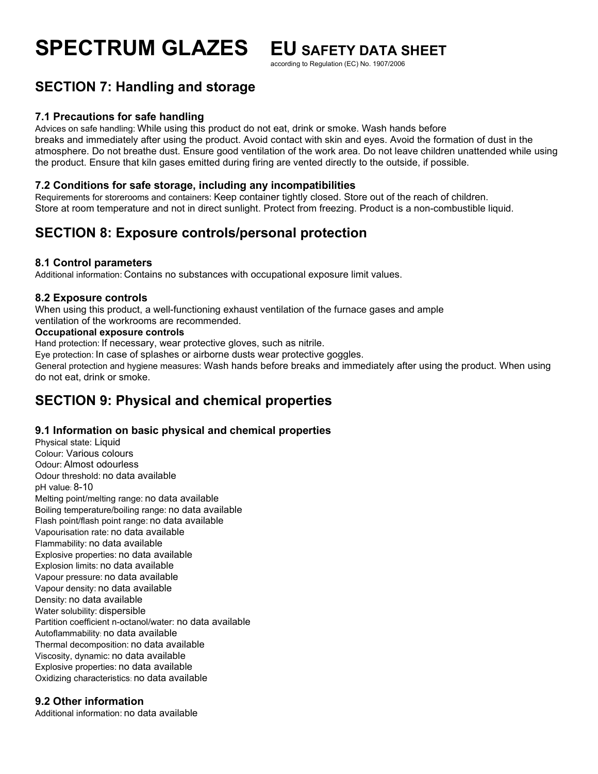according to Regulation (EC) No. 1907/2006

# **SECTION 7: Handling and storage**

## **7.1 Precautions for safe handling**

Advices on safe handling: While using this product do not eat, drink or smoke. Wash hands before breaks and immediately after using the product. Avoid contact with skin and eyes. Avoid the formation of dust in the atmosphere. Do not breathe dust. Ensure good ventilation of the work area. Do not leave children unattended while using the product. Ensure that kiln gases emitted during firing are vented directly to the outside, if possible.

## **7.2 Conditions for safe storage, including any incompatibilities**

Requirements for storerooms and containers: Keep container tightly closed. Store out of the reach of children. Store at room temperature and not in direct sunlight. Protect from freezing. Product is a non-combustible liquid.

# **SECTION 8: Exposure controls/personal protection**

## **8.1 Control parameters**

Additional information: Contains no substances with occupational exposure limit values.

## **8.2 Exposure controls**

When using this product, a well-functioning exhaust ventilation of the furnace gases and ample ventilation of the workrooms are recommended.

## **Occupational exposure controls**

Hand protection: If necessary, wear protective gloves, such as nitrile.

Eye protection: In case of splashes or airborne dusts wear protective goggles.

General protection and hygiene measures: Wash hands before breaks and immediately after using the product. When using do not eat, drink or smoke.

# **SECTION 9: Physical and chemical properties**

## **9.1 Information on basic physical and chemical properties**

Physical state: Liquid Colour: Various colours Odour: Almost odourless Odour threshold: no data available pH value: 8-10 Melting point/melting range: no data available Boiling temperature/boiling range: no data available Flash point/flash point range: no data available Vapourisation rate: no data available Flammability: no data available Explosive properties: no data available Explosion limits: no data available Vapour pressure: no data available Vapour density: no data available Density: no data available Water solubility: dispersible Partition coefficient n-octanol/water: no data available Autoflammability: no data available Thermal decomposition: no data available Viscosity, dynamic: no data available Explosive properties: no data available Oxidizing characteristics: no data available

## **9.2 Other information**

Additional information: no data available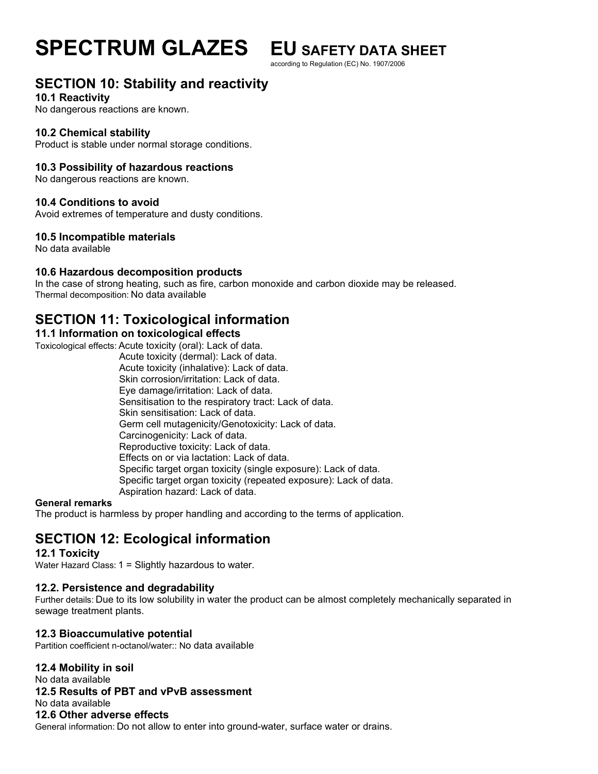according to Regulation (EC) No. 1907/2006

# **SECTION 10: Stability and reactivity**

#### **10.1 Reactivity**

No dangerous reactions are known.

## **10.2 Chemical stability**

Product is stable under normal storage conditions.

## **10.3 Possibility of hazardous reactions**

No dangerous reactions are known.

## **10.4 Conditions to avoid**

Avoid extremes of temperature and dusty conditions.

## **10.5 Incompatible materials**

No data available

## **10.6 Hazardous decomposition products**

In the case of strong heating, such as fire, carbon monoxide and carbon dioxide may be released. Thermal decomposition: No data available

## **SECTION 11: Toxicological information**

## **11.1 Information on toxicological effects**

Toxicological effects: Acute toxicity (oral): Lack of data.

 Acute toxicity (dermal): Lack of data. Acute toxicity (inhalative): Lack of data. Skin corrosion/irritation: Lack of data. Eye damage/irritation: Lack of data. Sensitisation to the respiratory tract: Lack of data. Skin sensitisation: Lack of data. Germ cell mutagenicity/Genotoxicity: Lack of data. Carcinogenicity: Lack of data. Reproductive toxicity: Lack of data. Effects on or via lactation: Lack of data. Specific target organ toxicity (single exposure): Lack of data. Specific target organ toxicity (repeated exposure): Lack of data. Aspiration hazard: Lack of data.

#### **General remarks**

The product is harmless by proper handling and according to the terms of application.

# **SECTION 12: Ecological information**

## **12.1 Toxicity**

Water Hazard Class: 1 = Slightly hazardous to water.

## **12.2. Persistence and degradability**

Further details: Due to its low solubility in water the product can be almost completely mechanically separated in sewage treatment plants.

## **12.3 Bioaccumulative potential**

Partition coefficient n-octanol/water:: No data available

**12.4 Mobility in soil**

No data available

## **12.5 Results of PBT and vPvB assessment**

No data available

## **12.6 Other adverse effects**

General information: Do not allow to enter into ground-water, surface water or drains.